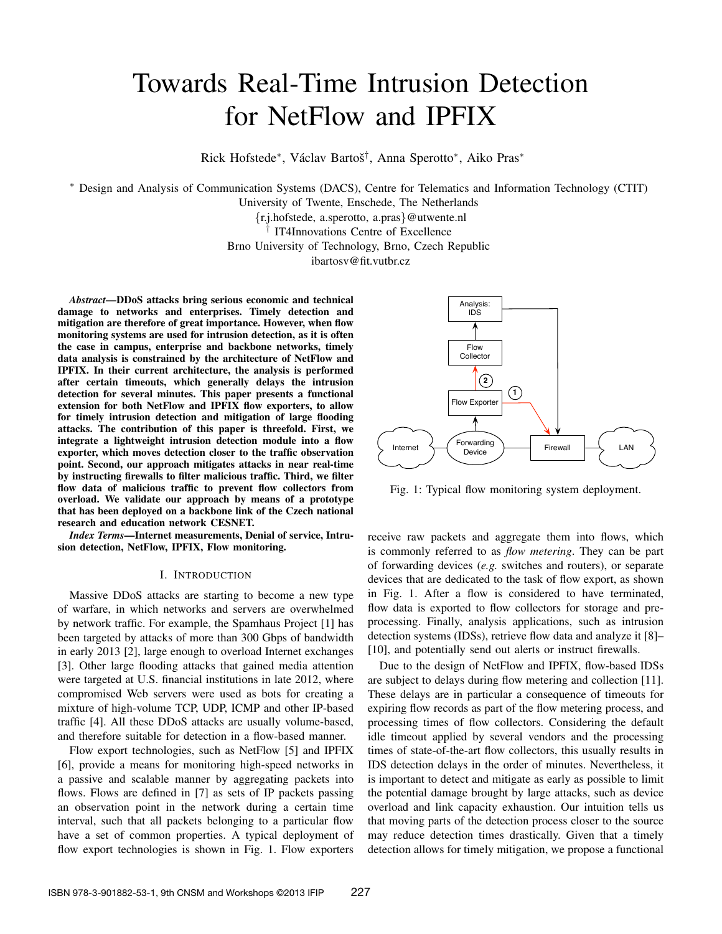# Towards Real-Time Intrusion Detection for NetFlow and IPFIX

Rick Hofstede\*, Václav Bartoš<sup>†</sup>, Anna Sperotto\*, Aiko Pras\*

<sup>∗</sup> Design and Analysis of Communication Systems (DACS), Centre for Telematics and Information Technology (CTIT)

University of Twente, Enschede, The Netherlands

{r.j.hofstede, a.sperotto, a.pras}@utwente.nl

† IT4Innovations Centre of Excellence

Brno University of Technology, Brno, Czech Republic

ibartosv@fit.vutbr.cz

*Abstract*—DDoS attacks bring serious economic and technical damage to networks and enterprises. Timely detection and mitigation are therefore of great importance. However, when flow monitoring systems are used for intrusion detection, as it is often the case in campus, enterprise and backbone networks, timely data analysis is constrained by the architecture of NetFlow and IPFIX. In their current architecture, the analysis is performed after certain timeouts, which generally delays the intrusion detection for several minutes. This paper presents a functional extension for both NetFlow and IPFIX flow exporters, to allow for timely intrusion detection and mitigation of large flooding attacks. The contribution of this paper is threefold. First, we integrate a lightweight intrusion detection module into a flow exporter, which moves detection closer to the traffic observation point. Second, our approach mitigates attacks in near real-time by instructing firewalls to filter malicious traffic. Third, we filter flow data of malicious traffic to prevent flow collectors from overload. We validate our approach by means of a prototype that has been deployed on a backbone link of the Czech national research and education network CESNET.

*Index Terms*—Internet measurements, Denial of service, Intrusion detection, NetFlow, IPFIX, Flow monitoring.

#### I. INTRODUCTION

Massive DDoS attacks are starting to become a new type of warfare, in which networks and servers are overwhelmed by network traffic. For example, the Spamhaus Project [1] has been targeted by attacks of more than 300 Gbps of bandwidth in early 2013 [2], large enough to overload Internet exchanges [3]. Other large flooding attacks that gained media attention were targeted at U.S. financial institutions in late 2012, where compromised Web servers were used as bots for creating a mixture of high-volume TCP, UDP, ICMP and other IP-based traffic [4]. All these DDoS attacks are usually volume-based, and therefore suitable for detection in a flow-based manner.

Flow export technologies, such as NetFlow [5] and IPFIX [6], provide a means for monitoring high-speed networks in a passive and scalable manner by aggregating packets into flows. Flows are defined in [7] as sets of IP packets passing an observation point in the network during a certain time interval, such that all packets belonging to a particular flow have a set of common properties. A typical deployment of flow export technologies is shown in Fig. 1. Flow exporters



Fig. 1: Typical flow monitoring system deployment.

receive raw packets and aggregate them into flows, which is commonly referred to as *flow metering*. They can be part of forwarding devices (*e.g.* switches and routers), or separate devices that are dedicated to the task of flow export, as shown in Fig. 1. After a flow is considered to have terminated, flow data is exported to flow collectors for storage and preprocessing. Finally, analysis applications, such as intrusion detection systems (IDSs), retrieve flow data and analyze it [8]– [10], and potentially send out alerts or instruct firewalls.

Due to the design of NetFlow and IPFIX, flow-based IDSs are subject to delays during flow metering and collection [11]. These delays are in particular a consequence of timeouts for expiring flow records as part of the flow metering process, and processing times of flow collectors. Considering the default idle timeout applied by several vendors and the processing times of state-of-the-art flow collectors, this usually results in IDS detection delays in the order of minutes. Nevertheless, it is important to detect and mitigate as early as possible to limit the potential damage brought by large attacks, such as device overload and link capacity exhaustion. Our intuition tells us that moving parts of the detection process closer to the source may reduce detection times drastically. Given that a timely detection allows for timely mitigation, we propose a functional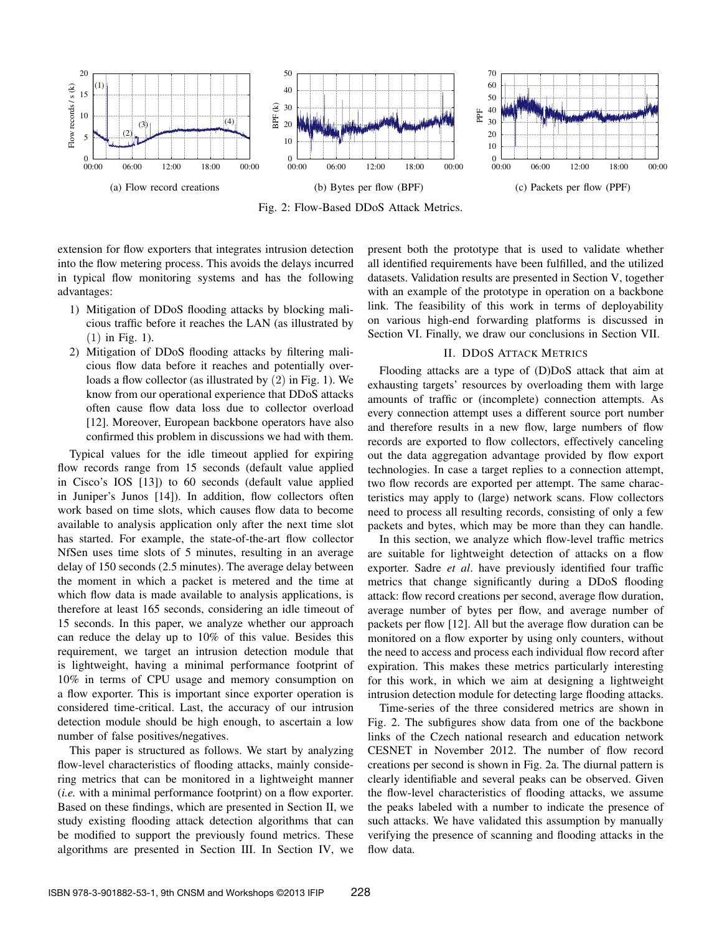

Fig. 2: Flow-Based DDoS Attack Metrics.

extension for flow exporters that integrates intrusion detection into the flow metering process. This avoids the delays incurred in typical flow monitoring systems and has the following advantages:

- 1) Mitigation of DDoS flooding attacks by blocking malicious traffic before it reaches the LAN (as illustrated by (1) in Fig. 1).
- 2) Mitigation of DDoS flooding attacks by filtering malicious flow data before it reaches and potentially overloads a flow collector (as illustrated by (2) in Fig. 1). We know from our operational experience that DDoS attacks often cause flow data loss due to collector overload [12]. Moreover, European backbone operators have also confirmed this problem in discussions we had with them.

Typical values for the idle timeout applied for expiring flow records range from 15 seconds (default value applied in Cisco's IOS [13]) to 60 seconds (default value applied in Juniper's Junos [14]). In addition, flow collectors often work based on time slots, which causes flow data to become available to analysis application only after the next time slot has started. For example, the state-of-the-art flow collector NfSen uses time slots of 5 minutes, resulting in an average delay of 150 seconds (2.5 minutes). The average delay between the moment in which a packet is metered and the time at which flow data is made available to analysis applications, is therefore at least 165 seconds, considering an idle timeout of 15 seconds. In this paper, we analyze whether our approach can reduce the delay up to 10% of this value. Besides this requirement, we target an intrusion detection module that is lightweight, having a minimal performance footprint of 10% in terms of CPU usage and memory consumption on a flow exporter. This is important since exporter operation is considered time-critical. Last, the accuracy of our intrusion detection module should be high enough, to ascertain a low number of false positives/negatives.

This paper is structured as follows. We start by analyzing flow-level characteristics of flooding attacks, mainly considering metrics that can be monitored in a lightweight manner (*i.e.* with a minimal performance footprint) on a flow exporter. Based on these findings, which are presented in Section II, we study existing flooding attack detection algorithms that can be modified to support the previously found metrics. These algorithms are presented in Section III. In Section IV, we present both the prototype that is used to validate whether all identified requirements have been fulfilled, and the utilized datasets. Validation results are presented in Section V, together with an example of the prototype in operation on a backbone link. The feasibility of this work in terms of deployability on various high-end forwarding platforms is discussed in Section VI. Finally, we draw our conclusions in Section VII.

### II. DDOS ATTACK METRICS

Flooding attacks are a type of (D)DoS attack that aim at exhausting targets' resources by overloading them with large amounts of traffic or (incomplete) connection attempts. As every connection attempt uses a different source port number and therefore results in a new flow, large numbers of flow records are exported to flow collectors, effectively canceling out the data aggregation advantage provided by flow export technologies. In case a target replies to a connection attempt, two flow records are exported per attempt. The same characteristics may apply to (large) network scans. Flow collectors need to process all resulting records, consisting of only a few packets and bytes, which may be more than they can handle.

In this section, we analyze which flow-level traffic metrics are suitable for lightweight detection of attacks on a flow exporter. Sadre *et al*. have previously identified four traffic metrics that change significantly during a DDoS flooding attack: flow record creations per second, average flow duration, average number of bytes per flow, and average number of packets per flow [12]. All but the average flow duration can be monitored on a flow exporter by using only counters, without the need to access and process each individual flow record after expiration. This makes these metrics particularly interesting for this work, in which we aim at designing a lightweight intrusion detection module for detecting large flooding attacks.

Time-series of the three considered metrics are shown in Fig. 2. The subfigures show data from one of the backbone links of the Czech national research and education network CESNET in November 2012. The number of flow record creations per second is shown in Fig. 2a. The diurnal pattern is clearly identifiable and several peaks can be observed. Given the flow-level characteristics of flooding attacks, we assume the peaks labeled with a number to indicate the presence of such attacks. We have validated this assumption by manually verifying the presence of scanning and flooding attacks in the flow data.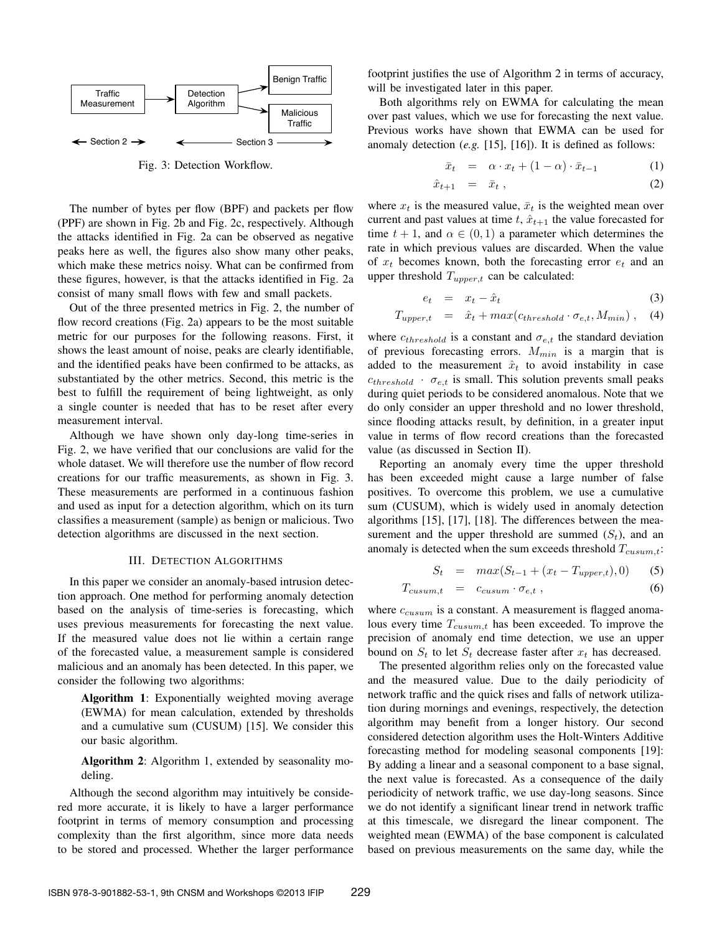

Fig. 3: Detection Workflow.

The number of bytes per flow (BPF) and packets per flow (PPF) are shown in Fig. 2b and Fig. 2c, respectively. Although the attacks identified in Fig. 2a can be observed as negative peaks here as well, the figures also show many other peaks, which make these metrics noisy. What can be confirmed from these figures, however, is that the attacks identified in Fig. 2a consist of many small flows with few and small packets.

Out of the three presented metrics in Fig. 2, the number of flow record creations (Fig. 2a) appears to be the most suitable metric for our purposes for the following reasons. First, it shows the least amount of noise, peaks are clearly identifiable, and the identified peaks have been confirmed to be attacks, as substantiated by the other metrics. Second, this metric is the best to fulfill the requirement of being lightweight, as only a single counter is needed that has to be reset after every measurement interval.

Although we have shown only day-long time-series in Fig. 2, we have verified that our conclusions are valid for the whole dataset. We will therefore use the number of flow record creations for our traffic measurements, as shown in Fig. 3. These measurements are performed in a continuous fashion and used as input for a detection algorithm, which on its turn classifies a measurement (sample) as benign or malicious. Two detection algorithms are discussed in the next section.

#### III. DETECTION ALGORITHMS

In this paper we consider an anomaly-based intrusion detection approach. One method for performing anomaly detection based on the analysis of time-series is forecasting, which uses previous measurements for forecasting the next value. If the measured value does not lie within a certain range of the forecasted value, a measurement sample is considered malicious and an anomaly has been detected. In this paper, we consider the following two algorithms:

Algorithm 1: Exponentially weighted moving average (EWMA) for mean calculation, extended by thresholds and a cumulative sum (CUSUM) [15]. We consider this our basic algorithm.

Algorithm 2: Algorithm 1, extended by seasonality modeling.

Although the second algorithm may intuitively be considered more accurate, it is likely to have a larger performance footprint in terms of memory consumption and processing complexity than the first algorithm, since more data needs to be stored and processed. Whether the larger performance footprint justifies the use of Algorithm 2 in terms of accuracy, will be investigated later in this paper.

Both algorithms rely on EWMA for calculating the mean over past values, which we use for forecasting the next value. Previous works have shown that EWMA can be used for anomaly detection (*e.g.* [15], [16]). It is defined as follows:

$$
\bar{x}_t = \alpha \cdot x_t + (1 - \alpha) \cdot \bar{x}_{t-1} \tag{1}
$$

$$
\hat{x}_{t+1} = \bar{x}_t , \qquad (2)
$$

where  $x_t$  is the measured value,  $\bar{x}_t$  is the weighted mean over current and past values at time t,  $\hat{x}_{t+1}$  the value forecasted for time  $t + 1$ , and  $\alpha \in (0, 1)$  a parameter which determines the rate in which previous values are discarded. When the value of  $x_t$  becomes known, both the forecasting error  $e_t$  and an upper threshold  $T_{upper,t}$  can be calculated:

$$
e_t = x_t - \hat{x}_t \tag{3}
$$

$$
T_{upper,t} = \hat{x}_t + max(c_{threshold} \cdot \sigma_{e,t}, M_{min}), \quad (4)
$$

where  $c_{threshold}$  is a constant and  $\sigma_{e,t}$  the standard deviation of previous forecasting errors.  $M_{min}$  is a margin that is added to the measurement  $\hat{x}_t$  to avoid instability in case  $c_{threshold}$  ·  $\sigma_{e,t}$  is small. This solution prevents small peaks during quiet periods to be considered anomalous. Note that we do only consider an upper threshold and no lower threshold, since flooding attacks result, by definition, in a greater input value in terms of flow record creations than the forecasted value (as discussed in Section II).

Reporting an anomaly every time the upper threshold has been exceeded might cause a large number of false positives. To overcome this problem, we use a cumulative sum (CUSUM), which is widely used in anomaly detection algorithms [15], [17], [18]. The differences between the measurement and the upper threshold are summed  $(S_t)$ , and an anomaly is detected when the sum exceeds threshold  $T_{cusum,t}$ :

$$
S_t = \max(S_{t-1} + (x_t - T_{upper,t}), 0) \tag{5}
$$

$$
T_{cusum,t} = c_{cusum} \cdot \sigma_{e,t} , \qquad (6)
$$

where  $c_{cusum}$  is a constant. A measurement is flagged anomalous every time  $T_{cusum,t}$  has been exceeded. To improve the precision of anomaly end time detection, we use an upper bound on  $S_t$  to let  $S_t$  decrease faster after  $x_t$  has decreased.

The presented algorithm relies only on the forecasted value and the measured value. Due to the daily periodicity of network traffic and the quick rises and falls of network utilization during mornings and evenings, respectively, the detection algorithm may benefit from a longer history. Our second considered detection algorithm uses the Holt-Winters Additive forecasting method for modeling seasonal components [19]: By adding a linear and a seasonal component to a base signal, the next value is forecasted. As a consequence of the daily periodicity of network traffic, we use day-long seasons. Since we do not identify a significant linear trend in network traffic at this timescale, we disregard the linear component. The weighted mean (EWMA) of the base component is calculated based on previous measurements on the same day, while the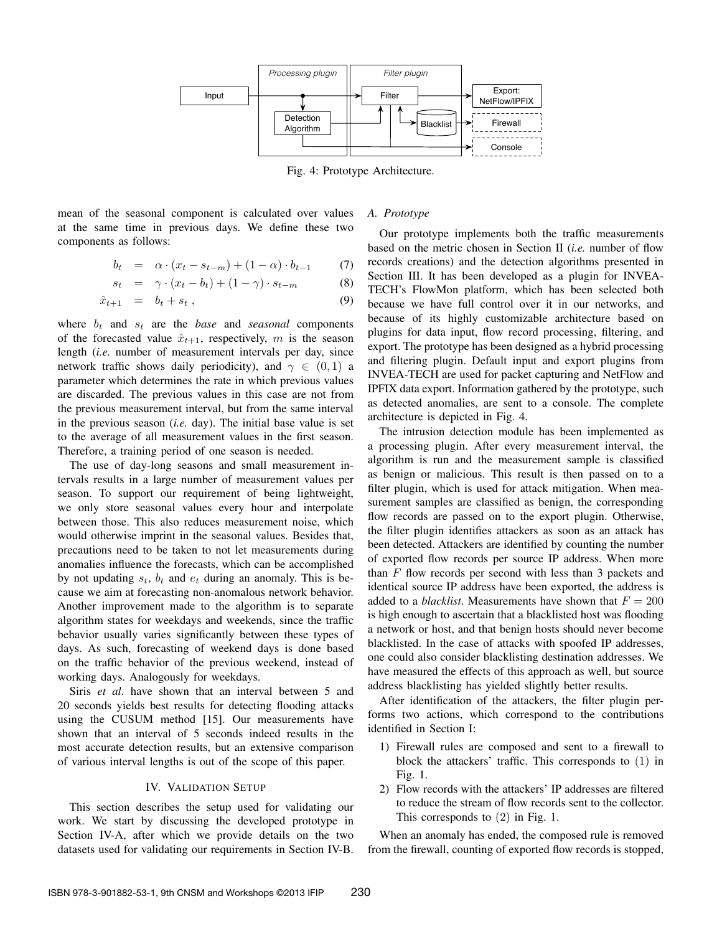

Fig. 4: Prototype Architecture.

mean of the seasonal component is calculated over values at the same time in previous days. We define these two components as follows:

$$
b_t = \alpha \cdot (x_t - s_{t-m}) + (1 - \alpha) \cdot b_{t-1} \tag{7}
$$

$$
s_t = \gamma \cdot (x_t - b_t) + (1 - \gamma) \cdot s_{t-m} \tag{8}
$$

$$
\hat{x}_{t+1} = b_t + s_t , \qquad (9)
$$

where  $b_t$  and  $s_t$  are the *base* and *seasonal* components of the forecasted value  $\hat{x}_{t+1}$ , respectively, m is the season length (*i.e.* number of measurement intervals per day, since network traffic shows daily periodicity), and  $\gamma \in (0,1)$  a parameter which determines the rate in which previous values are discarded. The previous values in this case are not from the previous measurement interval, but from the same interval in the previous season (*i.e.* day). The initial base value is set to the average of all measurement values in the first season. Therefore, a training period of one season is needed.

The use of day-long seasons and small measurement intervals results in a large number of measurement values per season. To support our requirement of being lightweight, we only store seasonal values every hour and interpolate between those. This also reduces measurement noise, which would otherwise imprint in the seasonal values. Besides that, precautions need to be taken to not let measurements during anomalies influence the forecasts, which can be accomplished by not updating  $s_t$ ,  $b_t$  and  $e_t$  during an anomaly. This is because we aim at forecasting non-anomalous network behavior. Another improvement made to the algorithm is to separate algorithm states for weekdays and weekends, since the traffic behavior usually varies significantly between these types of days. As such, forecasting of weekend days is done based on the traffic behavior of the previous weekend, instead of working days. Analogously for weekdays.

Siris *et al*. have shown that an interval between 5 and 20 seconds yields best results for detecting flooding attacks using the CUSUM method [15]. Our measurements have shown that an interval of 5 seconds indeed results in the most accurate detection results, but an extensive comparison of various interval lengths is out of the scope of this paper.

#### IV. VALIDATION SETUP

This section describes the setup used for validating our work. We start by discussing the developed prototype in Section IV-A, after which we provide details on the two datasets used for validating our requirements in Section IV-B.

#### *A. Prototype*

Our prototype implements both the traffic measurements based on the metric chosen in Section II (*i.e.* number of flow records creations) and the detection algorithms presented in Section III. It has been developed as a plugin for INVEA-TECH's FlowMon platform, which has been selected both because we have full control over it in our networks, and because of its highly customizable architecture based on plugins for data input, flow record processing, filtering, and export. The prototype has been designed as a hybrid processing and filtering plugin. Default input and export plugins from INVEA-TECH are used for packet capturing and NetFlow and IPFIX data export. Information gathered by the prototype, such as detected anomalies, are sent to a console. The complete architecture is depicted in Fig. 4.

The intrusion detection module has been implemented as a processing plugin. After every measurement interval, the algorithm is run and the measurement sample is classified as benign or malicious. This result is then passed on to a filter plugin, which is used for attack mitigation. When measurement samples are classified as benign, the corresponding flow records are passed on to the export plugin. Otherwise, the filter plugin identifies attackers as soon as an attack has been detected. Attackers are identified by counting the number of exported flow records per source IP address. When more than  $F$  flow records per second with less than 3 packets and identical source IP address have been exported, the address is added to a *blacklist*. Measurements have shown that  $F = 200$ is high enough to ascertain that a blacklisted host was flooding a network or host, and that benign hosts should never become blacklisted. In the case of attacks with spoofed IP addresses, one could also consider blacklisting destination addresses. We have measured the effects of this approach as well, but source address blacklisting has yielded slightly better results.

After identification of the attackers, the filter plugin performs two actions, which correspond to the contributions identified in Section I:

- 1) Firewall rules are composed and sent to a firewall to block the attackers' traffic. This corresponds to (1) in Fig. 1.
- 2) Flow records with the attackers' IP addresses are filtered to reduce the stream of flow records sent to the collector. This corresponds to (2) in Fig. 1.

When an anomaly has ended, the composed rule is removed from the firewall, counting of exported flow records is stopped,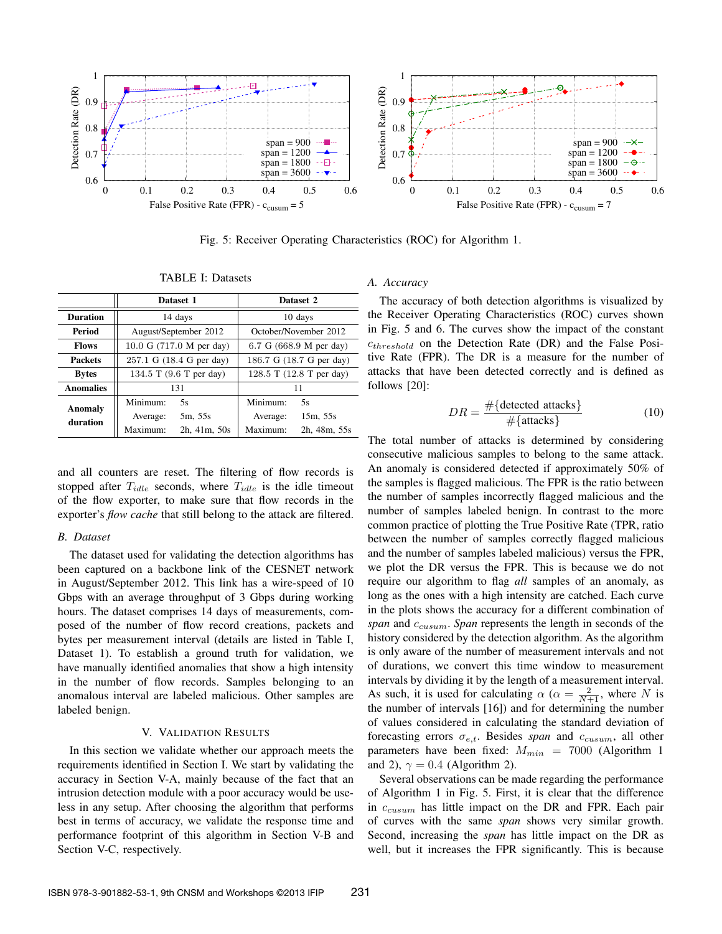

Fig. 5: Receiver Operating Characteristics (ROC) for Algorithm 1.

TABLE I: Datasets

|                     | Dataset 1                |            | Dataset 2                |              |
|---------------------|--------------------------|------------|--------------------------|--------------|
| <b>Duration</b>     | 14 days                  |            | 10 days                  |              |
| Period              | August/September 2012    |            | October/November 2012    |              |
| <b>Flows</b>        | 10.0 G (717.0 M per day) |            | 6.7 G (668.9 M per day)  |              |
| <b>Packets</b>      | 257.1 G (18.4 G per day) |            | 186.7 G (18.7 G per day) |              |
| <b>Bytes</b>        | 134.5 T (9.6 T per day)  |            | 128.5 T (12.8 T per day) |              |
| <b>Anomalies</b>    | 131                      |            | 11                       |              |
| Anomaly<br>duration | Minimum:                 | 5s         | Minimum:                 | 5s           |
|                     | Average:                 | 5m, 55s    | Average:                 | 15m, 55s     |
|                     | Maximum:                 | 2h.41m.50s | Maximum:                 | 2h. 48m. 55s |

and all counters are reset. The filtering of flow records is stopped after  $T_{idle}$  seconds, where  $T_{idle}$  is the idle timeout of the flow exporter, to make sure that flow records in the exporter's *flow cache* that still belong to the attack are filtered.

# *B. Dataset*

The dataset used for validating the detection algorithms has been captured on a backbone link of the CESNET network in August/September 2012. This link has a wire-speed of 10 Gbps with an average throughput of 3 Gbps during working hours. The dataset comprises 14 days of measurements, composed of the number of flow record creations, packets and bytes per measurement interval (details are listed in Table I, Dataset 1). To establish a ground truth for validation, we have manually identified anomalies that show a high intensity in the number of flow records. Samples belonging to an anomalous interval are labeled malicious. Other samples are labeled benign.

### V. VALIDATION RESULTS

In this section we validate whether our approach meets the requirements identified in Section I. We start by validating the accuracy in Section V-A, mainly because of the fact that an intrusion detection module with a poor accuracy would be useless in any setup. After choosing the algorithm that performs best in terms of accuracy, we validate the response time and performance footprint of this algorithm in Section V-B and Section V-C, respectively.

*A. Accuracy*

The accuracy of both detection algorithms is visualized by the Receiver Operating Characteristics (ROC) curves shown in Fig. 5 and 6. The curves show the impact of the constant  $c_{threshold}$  on the Detection Rate (DR) and the False Positive Rate (FPR). The DR is a measure for the number of attacks that have been detected correctly and is defined as follows [20]:

$$
DR = \frac{\# {\text{detected attacks}}}{\# {\text{attacks}}}
$$
 (10)

The total number of attacks is determined by considering consecutive malicious samples to belong to the same attack. An anomaly is considered detected if approximately 50% of the samples is flagged malicious. The FPR is the ratio between the number of samples incorrectly flagged malicious and the number of samples labeled benign. In contrast to the more common practice of plotting the True Positive Rate (TPR, ratio between the number of samples correctly flagged malicious and the number of samples labeled malicious) versus the FPR, we plot the DR versus the FPR. This is because we do not require our algorithm to flag *all* samples of an anomaly, as long as the ones with a high intensity are catched. Each curve in the plots shows the accuracy for a different combination of *span* and  $c_{cusum}$ . *Span* represents the length in seconds of the history considered by the detection algorithm. As the algorithm is only aware of the number of measurement intervals and not of durations, we convert this time window to measurement intervals by dividing it by the length of a measurement interval. As such, it is used for calculating  $\alpha$  ( $\alpha = \frac{2}{N+1}$ , where N is the number of intervals [16]) and for determining the number of values considered in calculating the standard deviation of forecasting errors  $\sigma_{e,t}$ . Besides *span* and  $c_{cusum}$ , all other parameters have been fixed:  $M_{min}$  = 7000 (Algorithm 1 and 2),  $\gamma = 0.4$  (Algorithm 2).

Several observations can be made regarding the performance of Algorithm 1 in Fig. 5. First, it is clear that the difference in  $c_{cusum}$  has little impact on the DR and FPR. Each pair of curves with the same *span* shows very similar growth. Second, increasing the *span* has little impact on the DR as well, but it increases the FPR significantly. This is because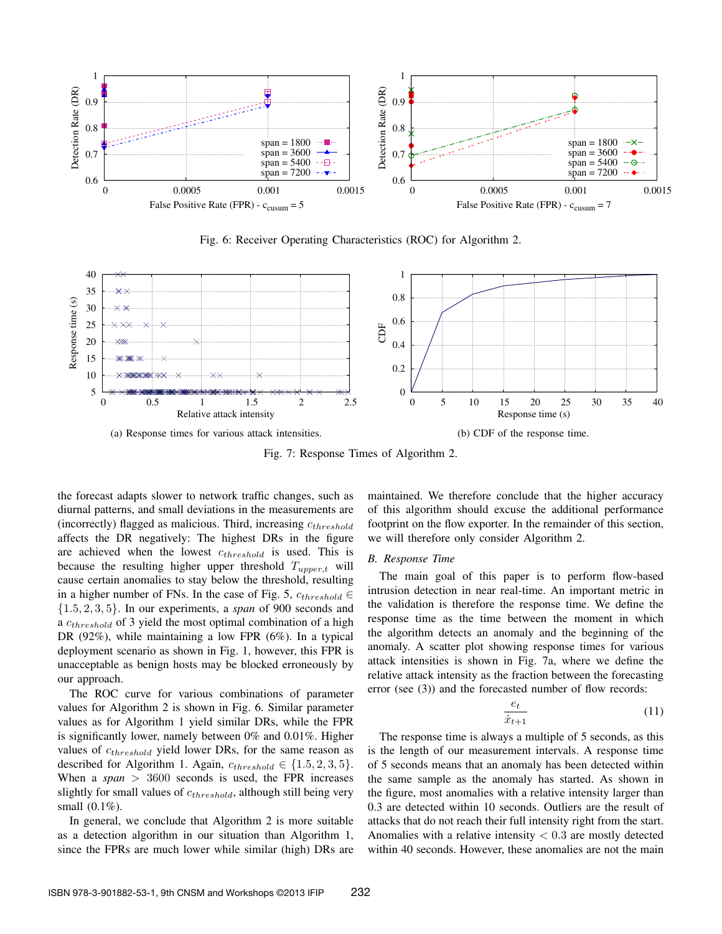

Fig. 6: Receiver Operating Characteristics (ROC) for Algorithm 2.



Fig. 7: Response Times of Algorithm 2.

the forecast adapts slower to network traffic changes, such as diurnal patterns, and small deviations in the measurements are (incorrectly) flagged as malicious. Third, increasing  $c_{threshold}$ affects the DR negatively: The highest DRs in the figure are achieved when the lowest  $c_{threshold}$  is used. This is because the resulting higher upper threshold  $T_{upper,t}$  will cause certain anomalies to stay below the threshold, resulting in a higher number of FNs. In the case of Fig. 5,  $c_{threshold} \in$ {1.5, 2, 3, 5}. In our experiments, a *span* of 900 seconds and a  $c_{threshold}$  of 3 yield the most optimal combination of a high DR (92%), while maintaining a low FPR (6%). In a typical deployment scenario as shown in Fig. 1, however, this FPR is unacceptable as benign hosts may be blocked erroneously by our approach.

The ROC curve for various combinations of parameter values for Algorithm 2 is shown in Fig. 6. Similar parameter values as for Algorithm 1 yield similar DRs, while the FPR is significantly lower, namely between 0% and 0.01%. Higher values of  $c_{threshold}$  yield lower DRs, for the same reason as described for Algorithm 1. Again,  $c_{threshold} \in \{1.5, 2, 3, 5\}.$ When a  $span > 3600$  seconds is used, the FPR increases slightly for small values of  $c_{threshold}$ , although still being very small (0.1%).

In general, we conclude that Algorithm 2 is more suitable as a detection algorithm in our situation than Algorithm 1, since the FPRs are much lower while similar (high) DRs are maintained. We therefore conclude that the higher accuracy of this algorithm should excuse the additional performance footprint on the flow exporter. In the remainder of this section, we will therefore only consider Algorithm 2.

## *B. Response Time*

The main goal of this paper is to perform flow-based intrusion detection in near real-time. An important metric in the validation is therefore the response time. We define the response time as the time between the moment in which the algorithm detects an anomaly and the beginning of the anomaly. A scatter plot showing response times for various attack intensities is shown in Fig. 7a, where we define the relative attack intensity as the fraction between the forecasting error (see (3)) and the forecasted number of flow records:

$$
\frac{e_t}{\hat{x}_{t+1}}\tag{11}
$$

The response time is always a multiple of 5 seconds, as this is the length of our measurement intervals. A response time of 5 seconds means that an anomaly has been detected within the same sample as the anomaly has started. As shown in the figure, most anomalies with a relative intensity larger than 0.3 are detected within 10 seconds. Outliers are the result of attacks that do not reach their full intensity right from the start. Anomalies with a relative intensity  $< 0.3$  are mostly detected within 40 seconds. However, these anomalies are not the main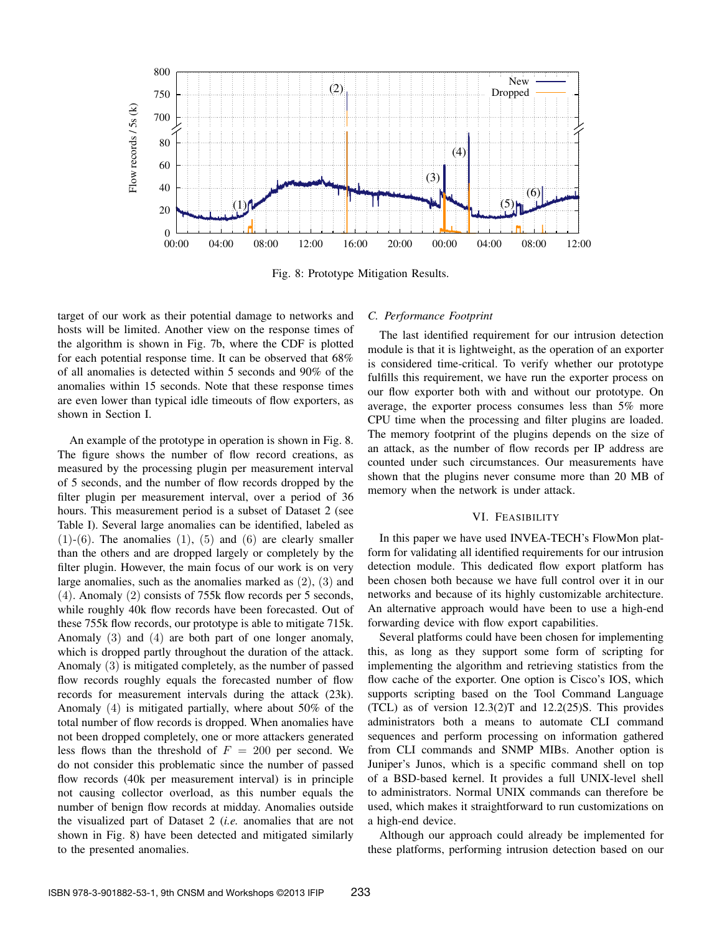

Fig. 8: Prototype Mitigation Results.

target of our work as their potential damage to networks and hosts will be limited. Another view on the response times of the algorithm is shown in Fig. 7b, where the CDF is plotted for each potential response time. It can be observed that 68% of all anomalies is detected within 5 seconds and 90% of the anomalies within 15 seconds. Note that these response times are even lower than typical idle timeouts of flow exporters, as shown in Section I.

An example of the prototype in operation is shown in Fig. 8. The figure shows the number of flow record creations, as measured by the processing plugin per measurement interval of 5 seconds, and the number of flow records dropped by the filter plugin per measurement interval, over a period of 36 hours. This measurement period is a subset of Dataset 2 (see Table I). Several large anomalies can be identified, labeled as  $(1)-(6)$ . The anomalies  $(1)$ ,  $(5)$  and  $(6)$  are clearly smaller than the others and are dropped largely or completely by the filter plugin. However, the main focus of our work is on very large anomalies, such as the anomalies marked as (2), (3) and (4). Anomaly (2) consists of 755k flow records per 5 seconds, while roughly 40k flow records have been forecasted. Out of these 755k flow records, our prototype is able to mitigate 715k. Anomaly (3) and (4) are both part of one longer anomaly, which is dropped partly throughout the duration of the attack. Anomaly (3) is mitigated completely, as the number of passed flow records roughly equals the forecasted number of flow records for measurement intervals during the attack (23k). Anomaly (4) is mitigated partially, where about 50% of the total number of flow records is dropped. When anomalies have not been dropped completely, one or more attackers generated less flows than the threshold of  $F = 200$  per second. We do not consider this problematic since the number of passed flow records (40k per measurement interval) is in principle not causing collector overload, as this number equals the number of benign flow records at midday. Anomalies outside the visualized part of Dataset 2 (*i.e.* anomalies that are not shown in Fig. 8) have been detected and mitigated similarly to the presented anomalies.

### *C. Performance Footprint*

The last identified requirement for our intrusion detection module is that it is lightweight, as the operation of an exporter is considered time-critical. To verify whether our prototype fulfills this requirement, we have run the exporter process on our flow exporter both with and without our prototype. On average, the exporter process consumes less than 5% more CPU time when the processing and filter plugins are loaded. The memory footprint of the plugins depends on the size of an attack, as the number of flow records per IP address are counted under such circumstances. Our measurements have shown that the plugins never consume more than 20 MB of memory when the network is under attack.

#### VI. FEASIBILITY

In this paper we have used INVEA-TECH's FlowMon platform for validating all identified requirements for our intrusion detection module. This dedicated flow export platform has been chosen both because we have full control over it in our networks and because of its highly customizable architecture. An alternative approach would have been to use a high-end forwarding device with flow export capabilities.

Several platforms could have been chosen for implementing this, as long as they support some form of scripting for implementing the algorithm and retrieving statistics from the flow cache of the exporter. One option is Cisco's IOS, which supports scripting based on the Tool Command Language (TCL) as of version 12.3(2)T and 12.2(25)S. This provides administrators both a means to automate CLI command sequences and perform processing on information gathered from CLI commands and SNMP MIBs. Another option is Juniper's Junos, which is a specific command shell on top of a BSD-based kernel. It provides a full UNIX-level shell to administrators. Normal UNIX commands can therefore be used, which makes it straightforward to run customizations on a high-end device.

Although our approach could already be implemented for these platforms, performing intrusion detection based on our